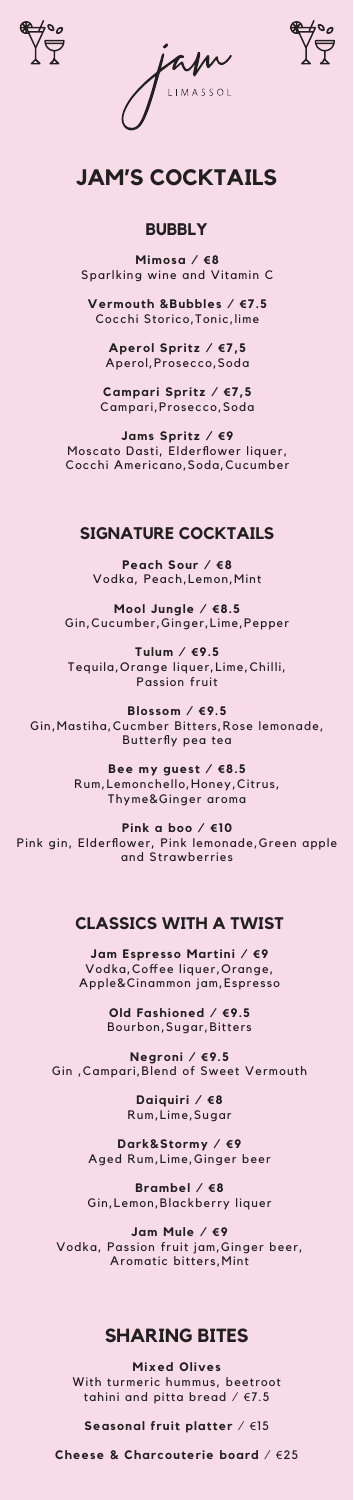





# **JAM'S COCKTAILS**

# **BUBBLY**

**Mimosa / €8** Sparlking wine and Vitamin C

**Vermouth &Bubbles / €7.5** Cocchi Storico,Tonic,lime

**Aperol Spritz / €7,5** Aperol,Prosecco,Soda

**Mixed Olives** With turmeric hummus, beetroot tahini and pitta bread  $/$   $E$ 7.5

**Campari Spritz / €7,5** Campari,Prosecco,Soda

**Jams Spritz / €9** Moscato Dasti, Elderflower liquer, Cocchi Americano,Soda,Cucumber

# **SHARING BITES**

**Seasonal fruit platter** / €15

**Cheese & Charcouterie board** / €25

# **SIGNATURE COCKTAILS**

**Peach Sour / €8** Vodka, Peach,Lemon,Mint

**Mool Jungle / €8.5** Gin,Cucumber,Ginger,Lime,Pepper

**Tulum / €9.5** Tequila,Orange liquer,Lime,Chilli, Passion fruit

**Blossom / €9.5** Gin,Mastiha,Cucmber Bitters,Rose lemonade, Butterfly pea tea

> **Bee my guest / €8.5** Rum,Lemonchello,Honey,Citrus, Thyme&Ginger aroma

**Pink a boo / €10** Pink gin, Elderflower, Pink lemonade,Green apple and Strawberries

# **CLASSICS WITH A TWIST**

**Jam Espresso Martini / €9** Vodka,Coffee liquer,Orange, Apple&Cinammon jam,Espresso

> **Old Fashioned / €9.5** Bourbon,Sugar,Bitters

**Negroni / €9.5** Gin ,Campari,Blend of Sweet Vermouth

> **Daiquiri / €8** Rum,Lime,Sugar

**Dark&Stormy / €9** Aged Rum,Lime,Ginger beer

**Brambel / €8** Gin,Lemon,Blackberry liquer

**Jam Mule / €9** Vodka, Passion fruit jam,Ginger beer, Aromatic bitters,Mint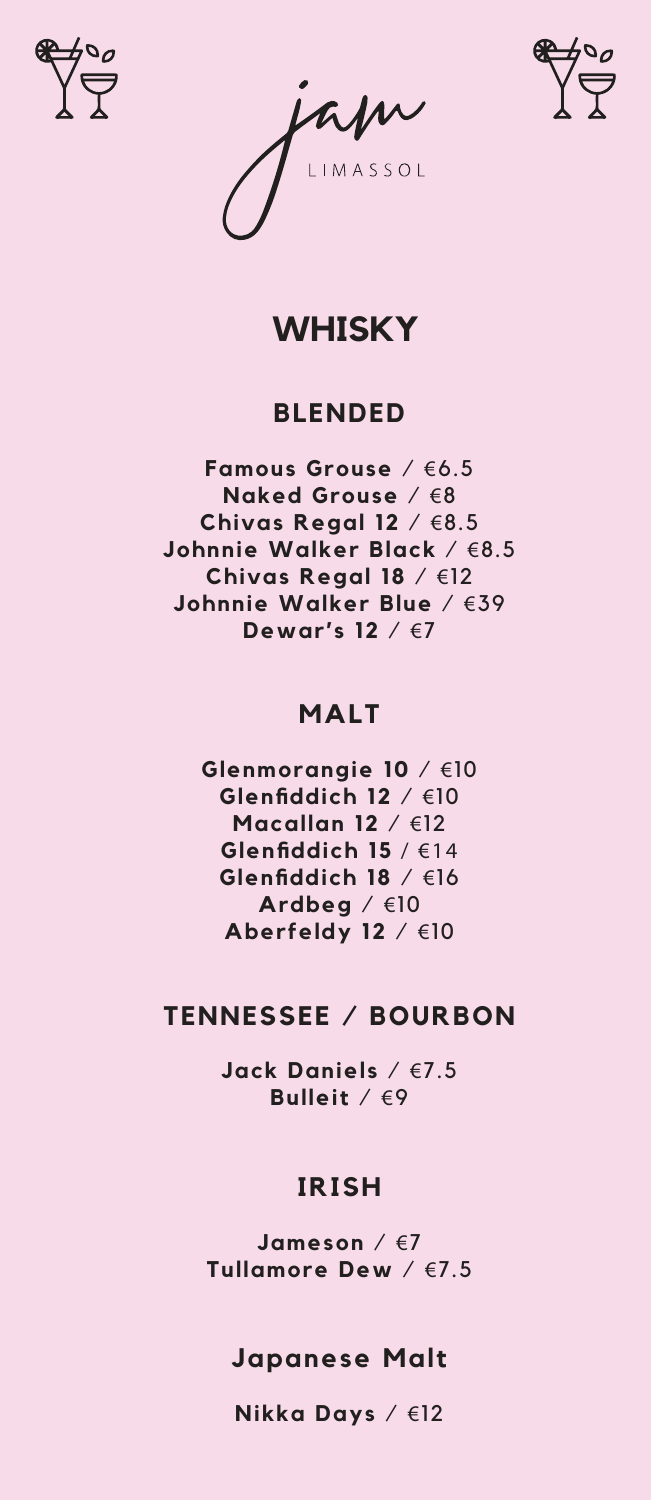





# **WHISKY**

### **BLENDED**

**Famous Grouse** / €6.5 **Naked Grouse** / €8 **Chivas Regal 12** / €8.5 **Johnnie Walker Black** / €8.5 **Chivas Regal 18** / €12 **Johnnie Walker Blue** / €39 **Dewar's 12** / €7

### **MALT**

**Glenmorangie 10** / €10 **Glenfiddich 12** / €10 **Macallan 12** / €12 **Glenfiddich 15** / €14 **Glenfiddich 18** / €16 **Ardbeg** / €10 **Aberfeldy 12** / €10

### **TENNESSEE / BOURBON**

**Jack Daniels** / €7.5 **Bulleit** / €9

### **IRISH**

**Jameson** / €7 **Tullamore Dew** / €7.5

### **Japanese Malt**

**Nikka Days** / €12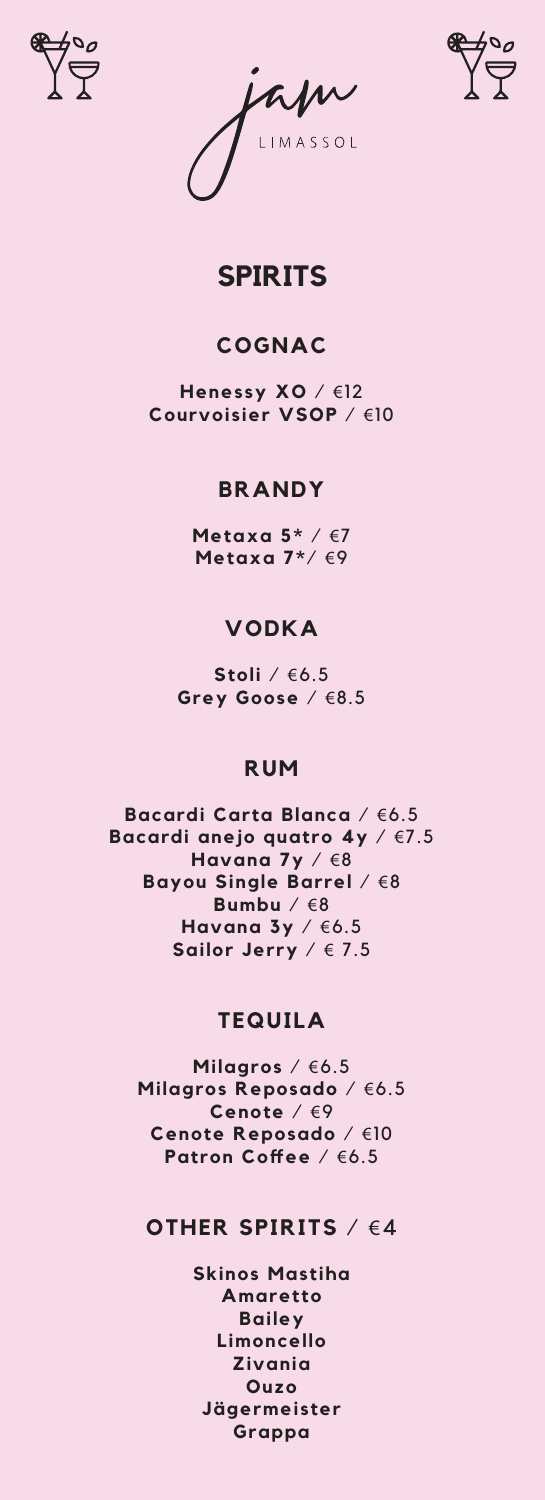





## **SPIRITS**

### **COGNAC**

**Henessy XO** / €12 **Courvoisier VSOP** / €10

#### **BRANDY**

**Metaxa 5\*** / €7 **Metaxa 7\***/ €9

#### **VODKA**

**Stoli** / €6.5 **Grey Goose** / €8.5

#### **RUM**

**Bacardi Carta Blanca** / €6.5 **Bacardi anejo quatro 4y** / €7.5 **Havana 7y** / €8 **Bayou Single Barrel** / €8 **Bumbu** / €8 **Havana 3y** / €6.5 **Sailor Jerry** / € 7.5

#### **TEQUILA**

**Milagros** / €6.5 **Milagros Reposado** / €6.5 **Cenote** / €9 **Cenote Reposado** / €10 **Patron Coffee** / €6.5

#### **OTHER SPIRITS** / €4

**Skinos Mastiha Amaretto Bailey Limoncello Zivania Ouzo Jägermeister Grappa**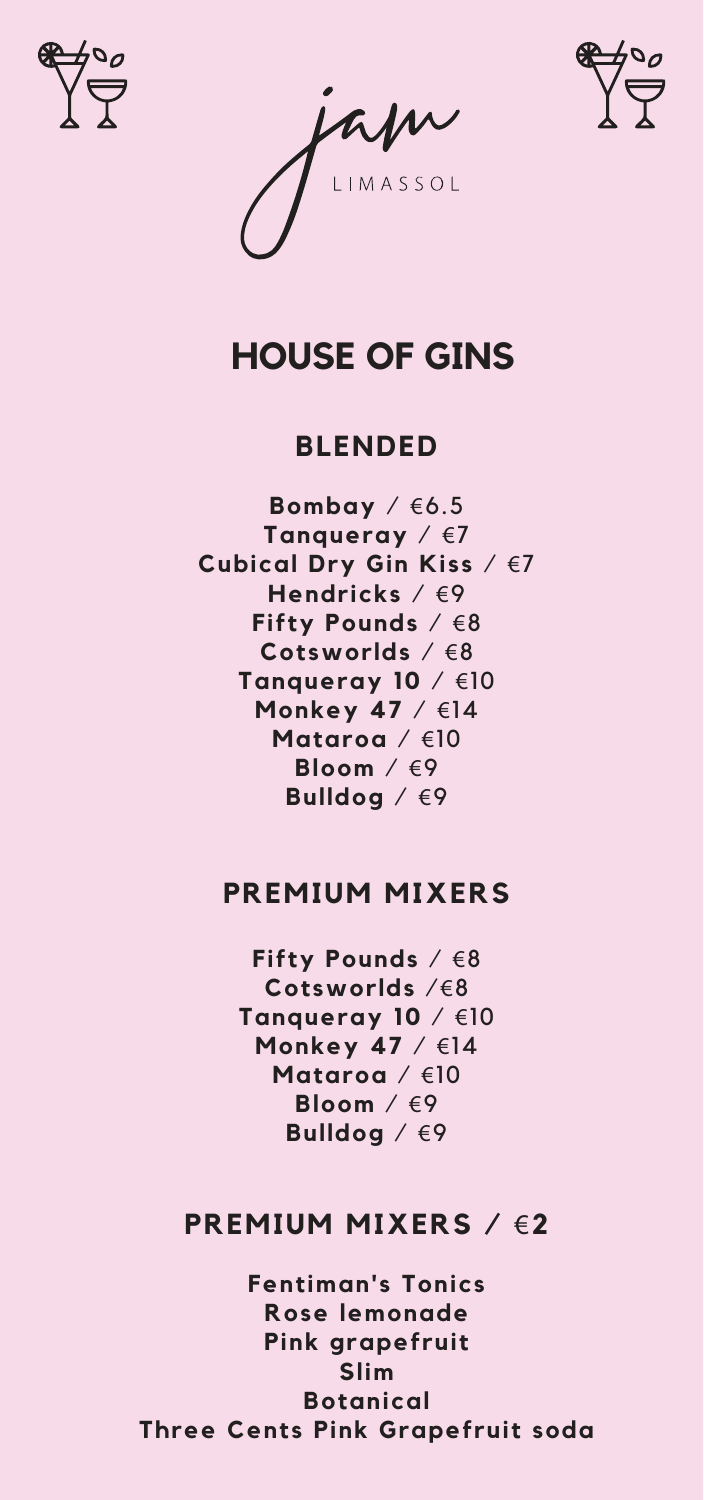

apr



# **HOUSE OF GINS**

#### **BLENDED**

**Bombay** / €6.5 **Tanqueray** / €7 **Cubical Dry Gin Kiss** / €7 **Hendricks** / €9 **Fifty Pounds** / €8 **Cotsworlds** / €8 **Tanqueray 10** / €10 **Monkey 47** / €14 **Mataroa** / €10 **Bloom** / €9 **Bulldog** / €9

#### **PREMIUM MIXERS**

**Fifty Pounds** / €8 **Cotsworlds** /€8 **Tanqueray 10** / €10 **Monkey 47** / €14 **Mataroa** / €10 **Bloom** / €9 **Bulldog** / €9

#### **PREMIUM MIXERS /** €**2**

**Fentiman's Tonics Rose lemonade Pink grapefruit Slim Botanical Three Cents Pink Grapefruit soda**